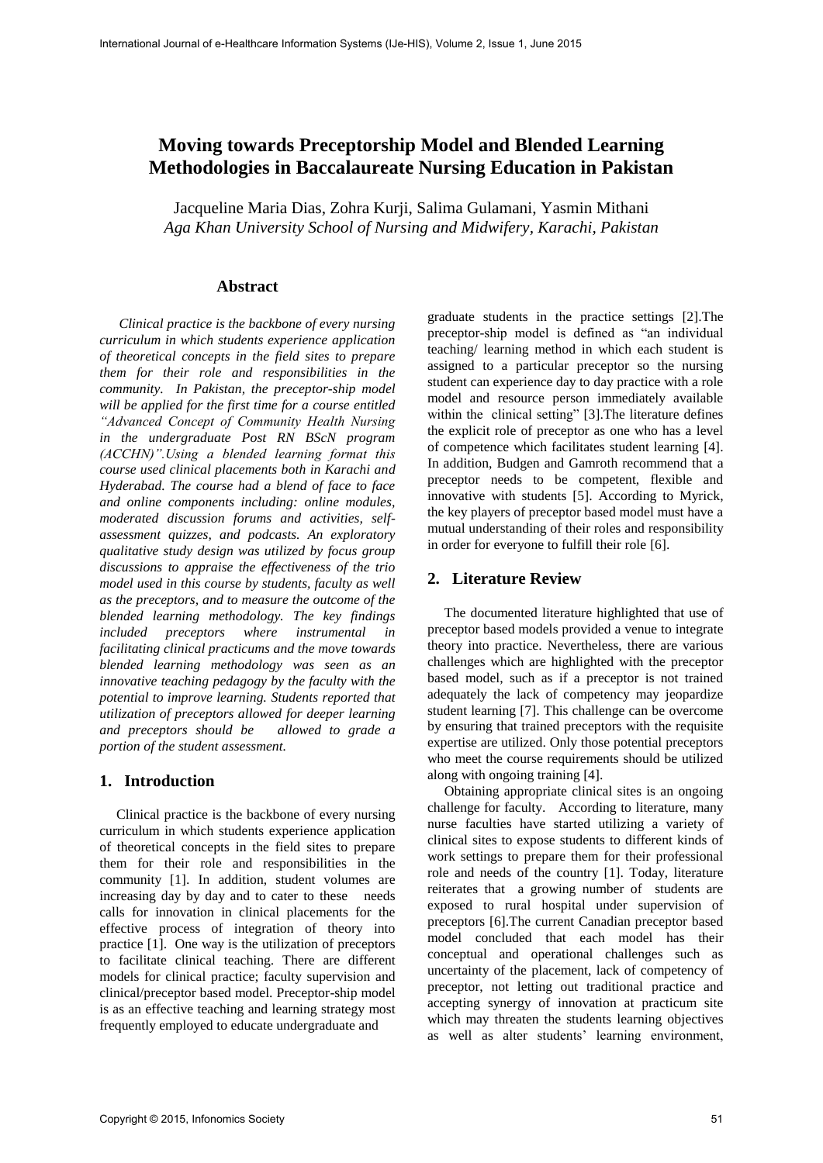# **Moving towards Preceptorship Model and Blended Learning Methodologies in Baccalaureate Nursing Education in Pakistan**

Jacqueline Maria Dias, Zohra Kurji, Salima Gulamani, Yasmin Mithani *Aga Khan University School of Nursing and Midwifery, Karachi, Pakistan*

# **Abstract**

*Clinical practice is the backbone of every nursing curriculum in which students experience application of theoretical concepts in the field sites to prepare them for their role and responsibilities in the community. In Pakistan, the preceptor-ship model will be applied for the first time for a course entitled "Advanced Concept of Community Health Nursing in the undergraduate Post RN BScN program (ACCHN)".Using a blended learning format this course used clinical placements both in Karachi and Hyderabad. The course had a blend of face to face and online components including: online modules, moderated discussion forums and activities, selfassessment quizzes, and podcasts. An exploratory qualitative study design was utilized by focus group discussions to appraise the effectiveness of the trio model used in this course by students, faculty as well as the preceptors, and to measure the outcome of the blended learning methodology. The key findings included preceptors where instrumental in facilitating clinical practicums and the move towards blended learning methodology was seen as an innovative teaching pedagogy by the faculty with the potential to improve learning. Students reported that utilization of preceptors allowed for deeper learning and preceptors should be allowed to grade a portion of the student assessment.* 

## **1. Introduction**

Clinical practice is the backbone of every nursing curriculum in which students experience application of theoretical concepts in the field sites to prepare them for their role and responsibilities in the community [1]. In addition, student volumes are increasing day by day and to cater to these needs calls for innovation in clinical placements for the effective process of integration of theory into practice [1]. One way is the utilization of preceptors to facilitate clinical teaching. There are different models for clinical practice; faculty supervision and clinical/preceptor based model. Preceptor-ship model is as an effective teaching and learning strategy most frequently employed to educate undergraduate and

graduate students in the practice settings [2].The preceptor-ship model is defined as "an individual teaching/ learning method in which each student is assigned to a particular preceptor so the nursing student can experience day to day practice with a role model and resource person immediately available within the clinical setting" [3]. The literature defines the explicit role of preceptor as one who has a level of competence which facilitates student learning [4]. In addition, Budgen and Gamroth recommend that a preceptor needs to be competent, flexible and innovative with students [5]. According to Myrick, the key players of preceptor based model must have a mutual understanding of their roles and responsibility in order for everyone to fulfill their role [6].

## **2. Literature Review**

The documented literature highlighted that use of preceptor based models provided a venue to integrate theory into practice. Nevertheless, there are various challenges which are highlighted with the preceptor based model, such as if a preceptor is not trained adequately the lack of competency may jeopardize student learning [7]. This challenge can be overcome by ensuring that trained preceptors with the requisite expertise are utilized. Only those potential preceptors who meet the course requirements should be utilized along with ongoing training [4].

Obtaining appropriate clinical sites is an ongoing challenge for faculty. According to literature, many nurse faculties have started utilizing a variety of clinical sites to expose students to different kinds of work settings to prepare them for their professional role and needs of the country [1]. Today, literature reiterates that a growing number of students are exposed to rural hospital under supervision of preceptors [6].The current Canadian preceptor based model concluded that each model has their conceptual and operational challenges such as uncertainty of the placement, lack of competency of preceptor, not letting out traditional practice and accepting synergy of innovation at practicum site which may threaten the students learning objectives as well as alter students' learning environment,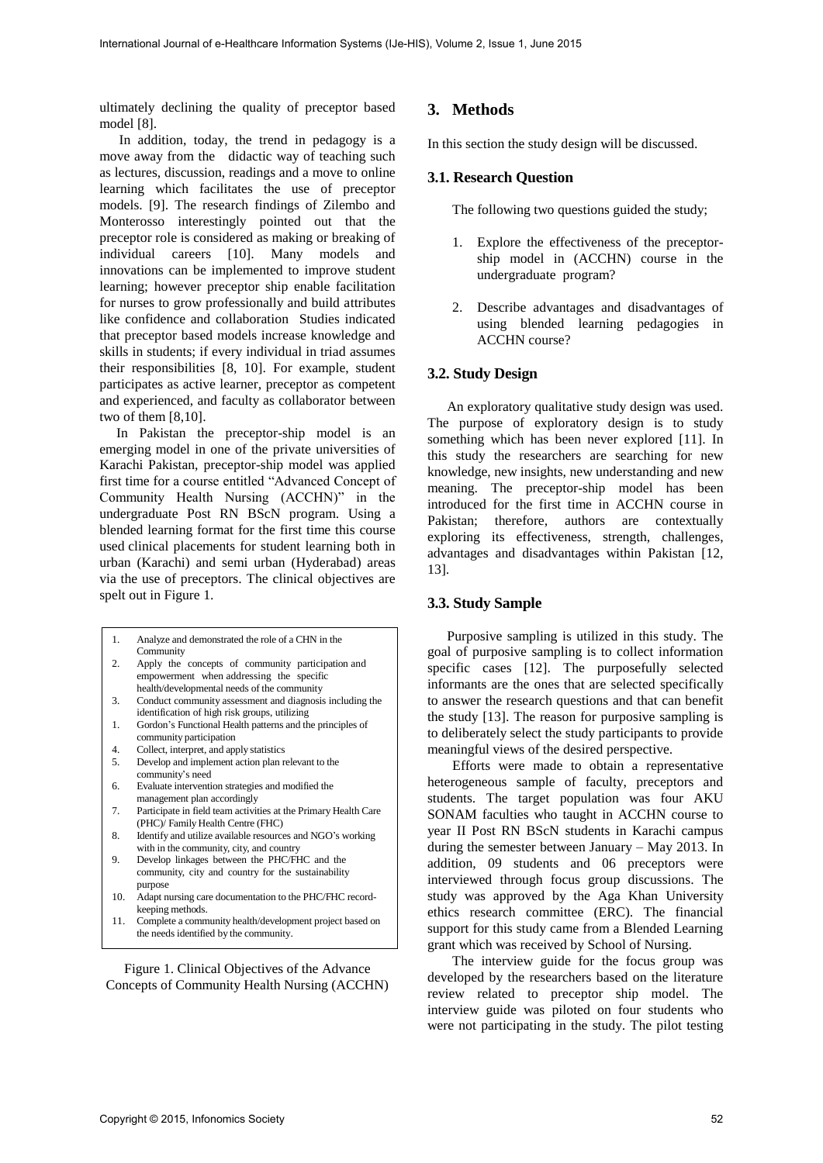ultimately declining the quality of preceptor based model [8].

In addition, today, the trend in pedagogy is a move away from the didactic way of teaching such as lectures, discussion, readings and a move to online learning which facilitates the use of preceptor models. [9]. The research findings of Zilembo and Monterosso interestingly pointed out that the preceptor role is considered as making or breaking of individual careers [10]. Many models and innovations can be implemented to improve student learning; however preceptor ship enable facilitation for nurses to grow professionally and build attributes like confidence and collaboration Studies indicated that preceptor based models increase knowledge and skills in students; if every individual in triad assumes their responsibilities [8, 10]. For example, student participates as active learner, preceptor as competent and experienced, and faculty as collaborator between two of them [8,10].

In Pakistan the preceptor-ship model is an emerging model in one of the private universities of Karachi Pakistan, preceptor-ship model was applied first time for a course entitled "Advanced Concept of Community Health Nursing (ACCHN)" in the undergraduate Post RN BScN program. Using a blended learning format for the first time this course used clinical placements for student learning both in urban (Karachi) and semi urban (Hyderabad) areas via the use of preceptors. The clinical objectives are spelt out in Figure 1.

|    | Analyze and demonstrated the role of a CHN in the |
|----|---------------------------------------------------|
|    | Community                                         |
| 2. | Apply the concepts of community participation and |

- empowerment when addressing the specific health/developmental needs of the community
- 3. Conduct community assessment and diagnosis including the identification of high risk groups, utilizing
- 1. Gordon's Functional Health patterns and the principles of community participation
- 4. Collect, interpret, and apply statistics
- 5. Develop and implement action plan relevant to the
- community's need 6. Evaluate intervention strategies and modified the management plan accordingly
- 7. Participate in field team activities at the Primary Health Care (PHC)/ Family Health Centre (FHC)
- 8. Identify and utilize available resources and NGO's working with in the community, city, and country
- 9. Develop linkages between the PHC/FHC and the community, city and country for the sustainability purpose
- 10. Adapt nursing care documentation to the PHC/FHC recordkeeping methods.
- 11. Complete a community health/development project based on the needs identified by the community.

Figure 1. Clinical Objectives of the Advance Concepts of Community Health Nursing (ACCHN)

## **3. Methods**

In this section the study design will be discussed.

### **3.1. Research Question**

The following two questions guided the study;

- 1. Explore the effectiveness of the preceptorship model in (ACCHN) course in the undergraduate program?
- 2. Describe advantages and disadvantages of using blended learning pedagogies in ACCHN course?

#### **3.2. Study Design**

An exploratory qualitative study design was used. The purpose of exploratory design is to study something which has been never explored [11]. In this study the researchers are searching for new knowledge, new insights, new understanding and new meaning. The preceptor-ship model has been introduced for the first time in ACCHN course in Pakistan; therefore, authors are contextually exploring its effectiveness, strength, challenges, advantages and disadvantages within Pakistan [12, 13].

#### **3.3. Study Sample**

Purposive sampling is utilized in this study. The goal of purposive sampling is to collect information specific cases [12]. The purposefully selected informants are the ones that are selected specifically to answer the research questions and that can benefit the study [13]. The reason for purposive sampling is to deliberately select the study participants to provide meaningful views of the desired perspective.

Efforts were made to obtain a representative heterogeneous sample of faculty, preceptors and students. The target population was four AKU SONAM faculties who taught in ACCHN course to year II Post RN BScN students in Karachi campus during the semester between January – May 2013. In addition, 09 students and 06 preceptors were interviewed through focus group discussions. The study was approved by the Aga Khan University ethics research committee (ERC). The financial support for this study came from a Blended Learning grant which was received by School of Nursing.

The interview guide for the focus group was developed by the researchers based on the literature review related to preceptor ship model. The interview guide was piloted on four students who were not participating in the study. The pilot testing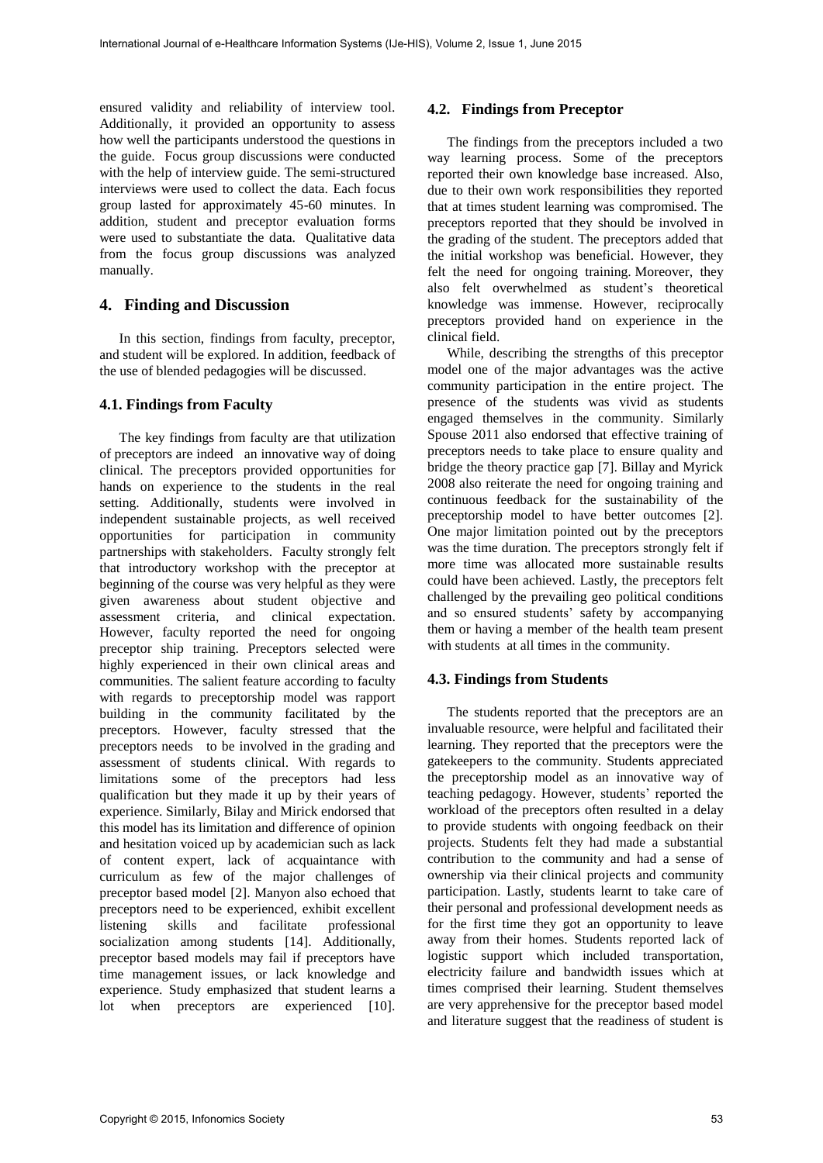ensured validity and reliability of interview tool. Additionally, it provided an opportunity to assess how well the participants understood the questions in the guide. Focus group discussions were conducted with the help of interview guide. The semi-structured interviews were used to collect the data. Each focus group lasted for approximately 45-60 minutes. In addition, student and preceptor evaluation forms were used to substantiate the data. Qualitative data from the focus group discussions was analyzed manually.

#### **4. Finding and Discussion**

In this section, findings from faculty, preceptor, and student will be explored. In addition, feedback of the use of blended pedagogies will be discussed.

#### **4.1. Findings from Faculty**

The key findings from faculty are that utilization of preceptors are indeed an innovative way of doing clinical. The preceptors provided opportunities for hands on experience to the students in the real setting. Additionally, students were involved in independent sustainable projects, as well received opportunities for participation in community partnerships with stakeholders. Faculty strongly felt that introductory workshop with the preceptor at beginning of the course was very helpful as they were given awareness about student objective and assessment criteria, and clinical expectation. However, faculty reported the need for ongoing preceptor ship training. Preceptors selected were highly experienced in their own clinical areas and communities. The salient feature according to faculty with regards to preceptorship model was rapport building in the community facilitated by the preceptors. However, faculty stressed that the preceptors needs to be involved in the grading and assessment of students clinical. With regards to limitations some of the preceptors had less qualification but they made it up by their years of experience. Similarly, Bilay and Mirick endorsed that this model has its limitation and difference of opinion and hesitation voiced up by academician such as lack of content expert, lack of acquaintance with curriculum as few of the major challenges of preceptor based model [2]. Manyon also echoed that preceptors need to be experienced, exhibit excellent listening skills and facilitate professional socialization among students [14]. Additionally, preceptor based models may fail if preceptors have time management issues, or lack knowledge and experience. Study emphasized that student learns a lot when preceptors are experienced [10].

### **4.2. Findings from Preceptor**

The findings from the preceptors included a two way learning process. Some of the preceptors reported their own knowledge base increased. Also, due to their own work responsibilities they reported that at times student learning was compromised. The preceptors reported that they should be involved in the grading of the student. The preceptors added that the initial workshop was beneficial. However, they felt the need for ongoing training. Moreover, they also felt overwhelmed as student's theoretical knowledge was immense. However, reciprocally preceptors provided hand on experience in the clinical field.

While, describing the strengths of this preceptor model one of the major advantages was the active community participation in the entire project. The presence of the students was vivid as students engaged themselves in the community. Similarly Spouse 2011 also endorsed that effective training of preceptors needs to take place to ensure quality and bridge the theory practice gap [7]. Billay and Myrick 2008 also reiterate the need for ongoing training and continuous feedback for the sustainability of the preceptorship model to have better outcomes [2]. One major limitation pointed out by the preceptors was the time duration. The preceptors strongly felt if more time was allocated more sustainable results could have been achieved. Lastly, the preceptors felt challenged by the prevailing geo political conditions and so ensured students' safety by accompanying them or having a member of the health team present with students at all times in the community.

## **4.3. Findings from Students**

The students reported that the preceptors are an invaluable resource, were helpful and facilitated their learning. They reported that the preceptors were the gatekeepers to the community. Students appreciated the preceptorship model as an innovative way of teaching pedagogy. However, students' reported the workload of the preceptors often resulted in a delay to provide students with ongoing feedback on their projects. Students felt they had made a substantial contribution to the community and had a sense of ownership via their clinical projects and community participation. Lastly, students learnt to take care of their personal and professional development needs as for the first time they got an opportunity to leave away from their homes. Students reported lack of logistic support which included transportation, electricity failure and bandwidth issues which at times comprised their learning. Student themselves are very apprehensive for the preceptor based model and literature suggest that the readiness of student is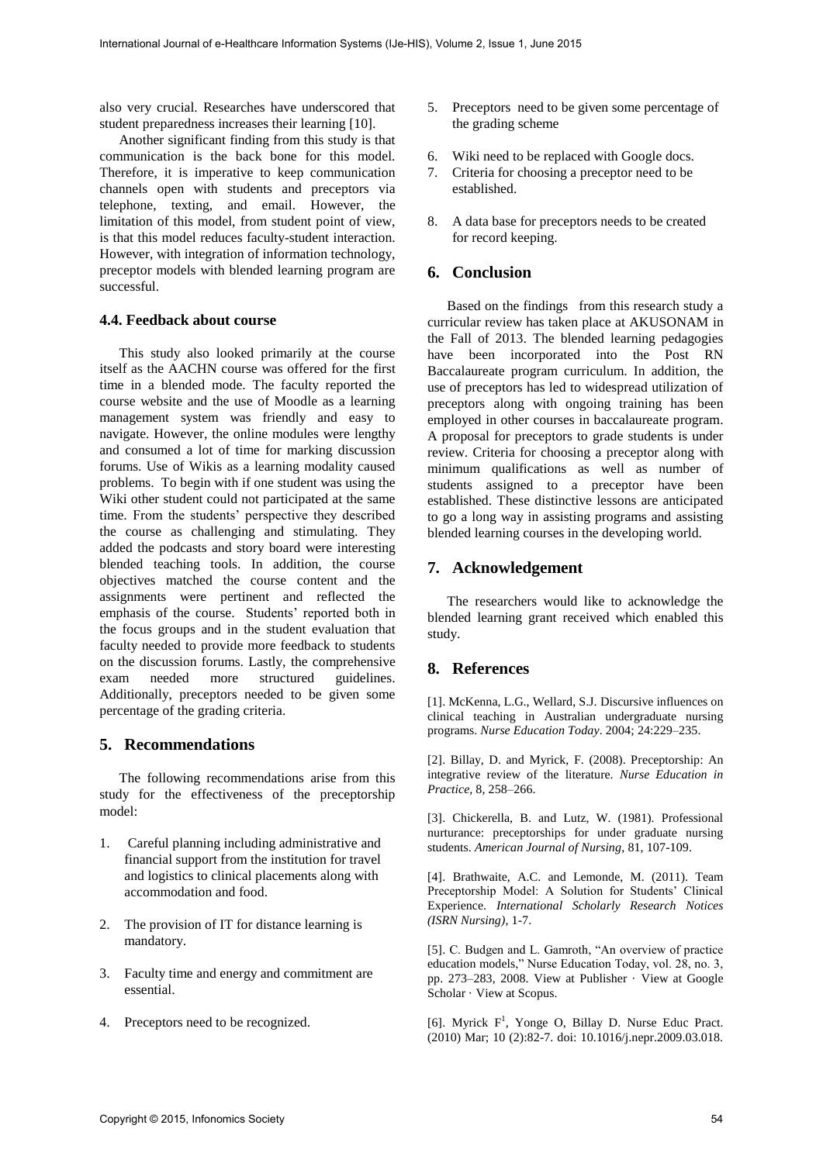also very crucial. Researches have underscored that student preparedness increases their learning [10].

Another significant finding from this study is that communication is the back bone for this model. Therefore, it is imperative to keep communication channels open with students and preceptors via telephone, texting, and email. However, the limitation of this model, from student point of view, is that this model reduces faculty-student interaction. However, with integration of information technology, preceptor models with blended learning program are successful.

### **4.4. Feedback about course**

This study also looked primarily at the course itself as the AACHN course was offered for the first time in a blended mode. The faculty reported the course website and the use of Moodle as a learning management system was friendly and easy to navigate. However, the online modules were lengthy and consumed a lot of time for marking discussion forums. Use of Wikis as a learning modality caused problems. To begin with if one student was using the Wiki other student could not participated at the same time. From the students' perspective they described the course as challenging and stimulating. They added the podcasts and story board were interesting blended teaching tools. In addition, the course objectives matched the course content and the assignments were pertinent and reflected the emphasis of the course. Students' reported both in the focus groups and in the student evaluation that faculty needed to provide more feedback to students on the discussion forums. Lastly, the comprehensive exam needed more structured guidelines. Additionally, preceptors needed to be given some percentage of the grading criteria.

## **5. Recommendations**

The following recommendations arise from this study for the effectiveness of the preceptorship model:

- 1. Careful planning including administrative and financial support from the institution for travel and logistics to clinical placements along with accommodation and food.
- 2. The provision of IT for distance learning is mandatory.
- 3. Faculty time and energy and commitment are essential.
- 4. Preceptors need to be recognized.
- 5. Preceptors need to be given some percentage of the grading scheme
- 6. Wiki need to be replaced with Google docs.
- 7. Criteria for choosing a preceptor need to be established.
- 8. A data base for preceptors needs to be created for record keeping.

## **6. Conclusion**

Based on the findings from this research study a curricular review has taken place at AKUSONAM in the Fall of 2013. The blended learning pedagogies have been incorporated into the Post RN Baccalaureate program curriculum. In addition, the use of preceptors has led to widespread utilization of preceptors along with ongoing training has been employed in other courses in baccalaureate program. A proposal for preceptors to grade students is under review. Criteria for choosing a preceptor along with minimum qualifications as well as number of students assigned to a preceptor have been established. These distinctive lessons are anticipated to go a long way in assisting programs and assisting blended learning courses in the developing world.

## **7. Acknowledgement**

The researchers would like to acknowledge the blended learning grant received which enabled this study.

# **8. References**

[1]. McKenna, L.G., Wellard, S.J. Discursive influences on clinical teaching in Australian undergraduate nursing programs. *Nurse Education Today*. 2004; 24:229–235.

[2]. Billay, D. and Myrick, F. (2008). Preceptorship: An integrative review of the literature. *Nurse Education in Practice*, 8, 258–266.

[3]. Chickerella, B. and Lutz, W. (1981). Professional nurturance: preceptorships for under graduate nursing students. *American Journal of Nursing*, 81, 107-109.

[4]. Brathwaite, A.C. and Lemonde, M. (2011). Team Preceptorship Model: A Solution for Students' Clinical Experience. *International Scholarly Research Notices (ISRN Nursing)*, 1-7.

[5]. C. Budgen and L. Gamroth, "An overview of practice education models," Nurse Education Today, vol. 28, no. 3, pp. 273–283, 2008. [View at Publisher](http://dx.doi.org/10.1016/j.nedt.2007.05.005) · [View at Google](http://scholar.google.com/scholar_lookup?title=An+overview+of+practice+education+models&author=C.+Budgen&author=L.+Gamroth&publication_year=2008)  [Scholar](http://scholar.google.com/scholar_lookup?title=An+overview+of+practice+education+models&author=C.+Budgen&author=L.+Gamroth&publication_year=2008) [· View at Scopus.](http://www.scopus.com/scopus/inward/record.url?eid=2-s2.0-44449135158&partnerID=K84CvKBR&rel=3.0.0&md5=8fcf4a4d67dde34bf19c3e0f15811720)

[6]. Myrick  $F^1$ , [Yonge O,](http://www.ncbi.nlm.nih.gov/pubmed/?term=Yonge%20O%5BAuthor%5D&cauthor=true&cauthor_uid=19442585) [Billay D.](http://www.ncbi.nlm.nih.gov/pubmed/?term=Billay%20D%5BAuthor%5D&cauthor=true&cauthor_uid=19442585) [Nurse Educ Pract.](http://www.ncbi.nlm.nih.gov/pubmed/19442585) (2010) Mar; 10 (2):82-7. doi: 10.1016/j.nepr.2009.03.018.